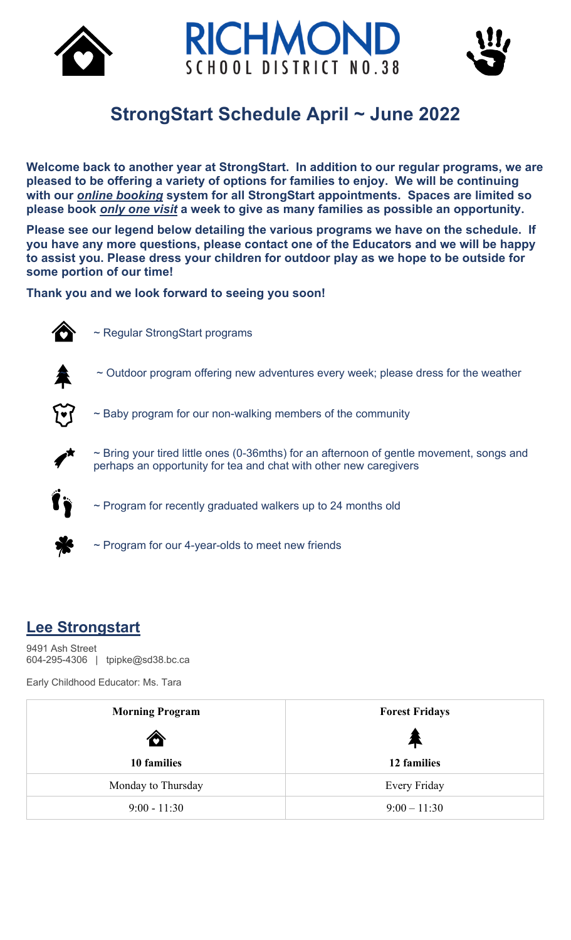



# **StrongStart Schedule April ~ June 2022**

**Welcome back to another year at StrongStart. In addition to our regular programs, we are pleased to be offering a variety of options for families to enjoy. We will be continuing with our** *online booking* **system for all StrongStart appointments. Spaces are limited so please book** *only one visit* **a week to give as many families as possible an opportunity.** 

**Please see our legend below detailing the various programs we have on the schedule. If you have any more questions, please contact one of the Educators and we will be happy to assist you. Please dress your children for outdoor play as we hope to be outside for some portion of our time!**

**Thank you and we look forward to seeing you soon!**



~ Regular StrongStart programs



 $\sim$  Outdoor program offering new adventures every week; please dress for the weather



~ Baby program for our non-walking members of the community



~ Bring your tired little ones (0-36mths) for an afternoon of gentle movement, songs and perhaps an opportunity for tea and chat with other new caregivers



~ Program for recently graduated walkers up to 24 months old

~ Program for our 4-year-olds to meet new friends

#### **Lee Strongstart**

9491 Ash Street 604-295-4306 | tpipke@sd38.bc.ca

Early Childhood Educator: Ms. Tara

| <b>Morning Program</b> | <b>Forest Fridays</b> |
|------------------------|-----------------------|
| $\bullet$              | 不                     |
| 10 families            | 12 families           |
| Monday to Thursday     | Every Friday          |
| $9:00 - 11:30$         | $9:00 - 11:30$        |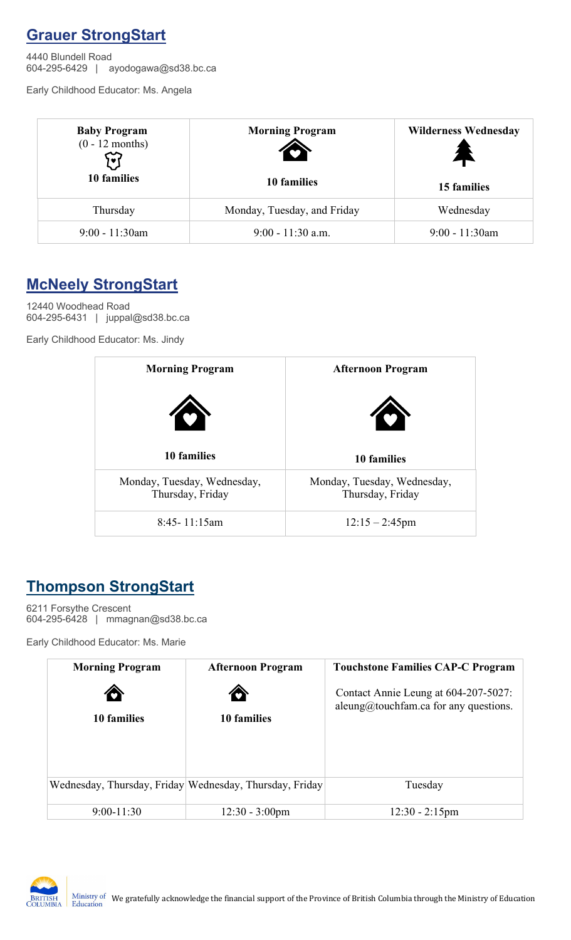### **Grauer StrongStart**

4440 Blundell Road 604-295-6429 | ayodogawa@sd38.bc.ca

Early Childhood Educator: Ms. Angela

| <b>Baby Program</b><br>$(0 - 12$ months) | <b>Morning Program</b>      | <b>Wilderness Wednesday</b><br>4<br>15 families |  |
|------------------------------------------|-----------------------------|-------------------------------------------------|--|
| 10 families                              | 10 families                 |                                                 |  |
| Thursday                                 | Monday, Tuesday, and Friday | Wednesday                                       |  |
| $9:00 - 11:30$ am                        | $9:00 - 11:30$ a.m.         | $9:00 - 11:30$ am                               |  |

### **McNeely StrongStart**

12440 Woodhead Road 604-295-6431 | juppal@sd38.bc.ca

Early Childhood Educator: Ms. Jindy

| <b>Morning Program</b>                          | <b>Afternoon Program</b>                        |
|-------------------------------------------------|-------------------------------------------------|
| T                                               | $\bullet$                                       |
| 10 families                                     | 10 families                                     |
| Monday, Tuesday, Wednesday,<br>Thursday, Friday | Monday, Tuesday, Wednesday,<br>Thursday, Friday |
| $8:45 - 11:15$ am                               | $12:15 - 2:45$ pm                               |

## **Thompson StrongStart**

6211 Forsythe Crescent 604-295-6428 | mmagnan@sd38.bc.ca

Early Childhood Educator: Ms. Marie

| <b>Morning Program</b> | <b>Afternoon Program</b>                                | <b>Touchstone Families CAP-C Program</b>                                      |
|------------------------|---------------------------------------------------------|-------------------------------------------------------------------------------|
| €<br>10 families       | Ô<br>10 families                                        | Contact Annie Leung at 604-207-5027:<br>aleung@touchfam.ca for any questions. |
|                        |                                                         |                                                                               |
|                        | Wednesday, Thursday, Friday Wednesday, Thursday, Friday | Tuesday                                                                       |
| $9:00 - 11:30$         | $12:30 - 3:00$ pm                                       | $12:30 - 2:15$ pm                                                             |